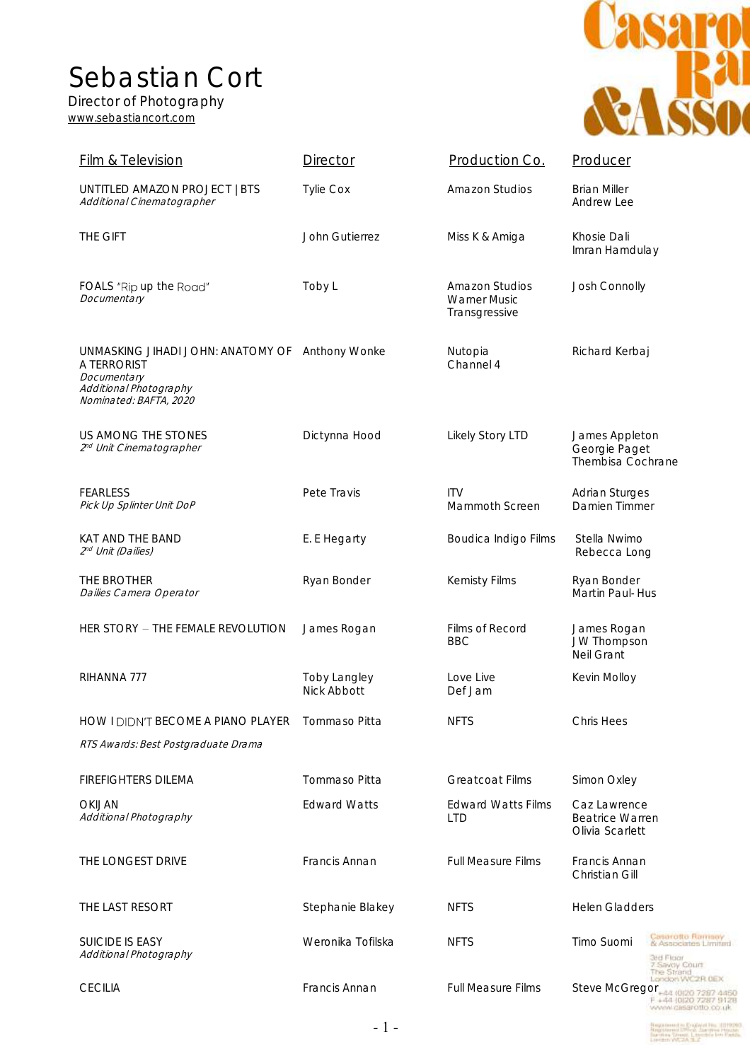Sebastian Cort

Director of Photography [www.sebastiancort.com](http://www.sebastiancort.com/)



| <b>Film &amp; Television</b>                                                                                                      | Director                           | Production Co.                                         | Producer                                                                                         |
|-----------------------------------------------------------------------------------------------------------------------------------|------------------------------------|--------------------------------------------------------|--------------------------------------------------------------------------------------------------|
| UNTITLED AMAZON PROJECT   BTS<br>Additional Cinematographer                                                                       | <b>Tylie Cox</b>                   | <b>Amazon Studios</b>                                  | <b>Brian Miller</b><br>Andrew Lee                                                                |
| THE GIFT                                                                                                                          | John Gutierrez                     | Miss K & Amiga                                         | Khosie Dali<br>Imran Hamdulay                                                                    |
| FOALS "Rip up the Road"<br>Documentary                                                                                            | Toby L                             | Amazon Studios<br><b>Warner Music</b><br>Transgressive | Josh Connolly                                                                                    |
| UNMASKING JIHADI JOHN: ANATOMY OF Anthony Wonke<br>A TERRORIST<br>Documentary<br>Additional Photography<br>Nominated: BAFTA, 2020 |                                    | Nutopia<br>Channel 4                                   | Richard Kerbaj                                                                                   |
| US AMONG THE STONES<br>2 <sup>nd</sup> Unit Cinematographer                                                                       | Dictynna Hood                      | Likely Story LTD                                       | James Appleton<br>Georgie Paget<br>Thembisa Cochrane                                             |
| <b>FEARLESS</b><br>Pick Up Splinter Unit DoP                                                                                      | Pete Travis                        | <b>ITV</b><br>Mammoth Screen                           | Adrian Sturges<br>Damien Timmer                                                                  |
| KAT AND THE BAND<br>2 <sup>nd</sup> Unit (Dailies)                                                                                | E. E Hegarty                       | Boudica Indigo Films                                   | Stella Nwimo<br>Rebecca Long                                                                     |
| THE BROTHER<br>Dailies Camera Operator                                                                                            | Ryan Bonder                        | Kemisty Films                                          | Ryan Bonder<br>Martin Paul-Hus                                                                   |
| HER STORY - THE FEMALE REVOLUTION                                                                                                 | James Rogan                        | Films of Record<br><b>BBC</b>                          | James Rogan<br>JW Thompson<br>Neil Grant                                                         |
| RIHANNA 777                                                                                                                       | <b>Toby Langley</b><br>Nick Abbott | Love Live<br>Def Jam                                   | Kevin Molloy                                                                                     |
| <b>HOW I DIDN'T BECOME A PIANO PLAYER</b>                                                                                         | Tommaso Pitta                      | <b>NFTS</b>                                            | <b>Chris Hees</b>                                                                                |
| RTS Awards: Best Postgraduate Drama                                                                                               |                                    |                                                        |                                                                                                  |
| <b>FIREFIGHTERS DILEMA</b>                                                                                                        | Tommaso Pitta                      | <b>Greatcoat Films</b>                                 | Simon Oxley                                                                                      |
| OKIJAN<br>Additional Photography                                                                                                  | <b>Edward Watts</b>                | <b>Fdward Watts Films</b><br><b>LTD</b>                | Caz Lawrence<br><b>Beatrice Warren</b><br>Olivia Scarlett                                        |
| THE LONGEST DRIVE                                                                                                                 | Francis Annan                      | <b>Full Measure Films</b>                              | Francis Annan<br>Christian Gill                                                                  |
| THE LAST RESORT                                                                                                                   | Stephanie Blakey                   | <b>NFTS</b>                                            | <b>Helen Gladders</b>                                                                            |
| <b>SUICIDE IS EASY</b><br>Additional Photography                                                                                  | Weronika Tofilska                  | <b>NFTS</b>                                            | Casarotto Ramsey<br>Timo Suomi<br>& Associates Limited<br>3rd Floar<br>Savoy Court<br>The Strand |
| <b>CECILIA</b>                                                                                                                    | Francis Annan                      | <b>Full Measure Films</b>                              | ondori VVC2R DEX<br>Steve McGregor<br>F +44 10120 7287 9128                                      |

Registered in English His 1819203<br>Registered Stival Jumpire House<br>Registered Stival Literature for Padde